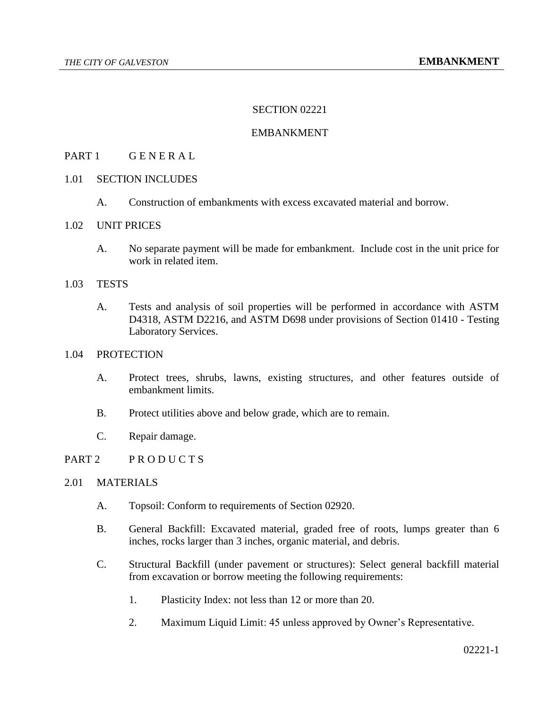## SECTION 02221

## EMBANKMENT

## PART 1 GENERAL

## 1.01 SECTION INCLUDES

A. Construction of embankments with excess excavated material and borrow.

### 1.02 UNIT PRICES

A. No separate payment will be made for embankment. Include cost in the unit price for work in related item.

#### 1.03 TESTS

A. Tests and analysis of soil properties will be performed in accordance with ASTM D4318, ASTM D2216, and ASTM D698 under provisions of Section 01410 - Testing Laboratory Services.

## 1.04 PROTECTION

- A. Protect trees, shrubs, lawns, existing structures, and other features outside of embankment limits.
- B. Protect utilities above and below grade, which are to remain.
- C. Repair damage.

## PART 2 PRODUCTS

## 2.01 MATERIALS

- A. Topsoil: Conform to requirements of Section 02920.
- B. General Backfill: Excavated material, graded free of roots, lumps greater than 6 inches, rocks larger than 3 inches, organic material, and debris.
- C. Structural Backfill (under pavement or structures): Select general backfill material from excavation or borrow meeting the following requirements:
	- 1. Plasticity Index: not less than 12 or more than 20.
	- 2. Maximum Liquid Limit: 45 unless approved by Owner's Representative.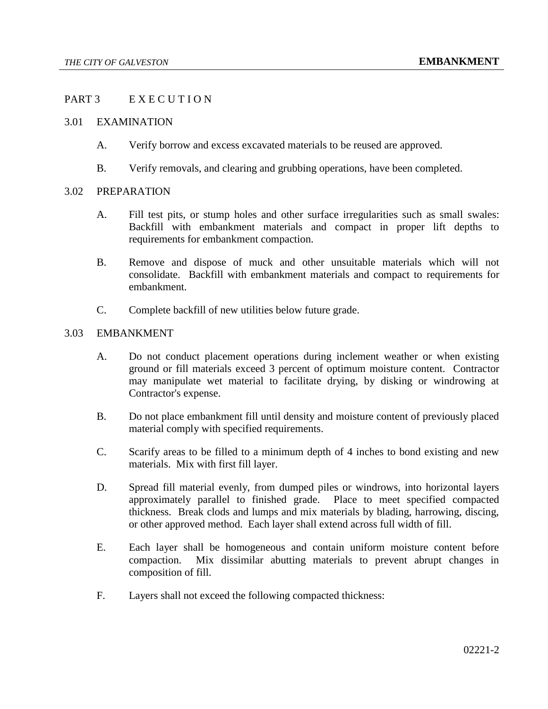## PART 3 EXECUTION

### 3.01 EXAMINATION

- A. Verify borrow and excess excavated materials to be reused are approved.
- B. Verify removals, and clearing and grubbing operations, have been completed.

#### 3.02 PREPARATION

- A. Fill test pits, or stump holes and other surface irregularities such as small swales: Backfill with embankment materials and compact in proper lift depths to requirements for embankment compaction.
- B. Remove and dispose of muck and other unsuitable materials which will not consolidate. Backfill with embankment materials and compact to requirements for embankment.
- C. Complete backfill of new utilities below future grade.

#### 3.03 EMBANKMENT

- A. Do not conduct placement operations during inclement weather or when existing ground or fill materials exceed 3 percent of optimum moisture content. Contractor may manipulate wet material to facilitate drying, by disking or windrowing at Contractor's expense.
- B. Do not place embankment fill until density and moisture content of previously placed material comply with specified requirements.
- C. Scarify areas to be filled to a minimum depth of 4 inches to bond existing and new materials. Mix with first fill layer.
- D. Spread fill material evenly, from dumped piles or windrows, into horizontal layers approximately parallel to finished grade. Place to meet specified compacted thickness. Break clods and lumps and mix materials by blading, harrowing, discing, or other approved method. Each layer shall extend across full width of fill.
- E. Each layer shall be homogeneous and contain uniform moisture content before compaction. Mix dissimilar abutting materials to prevent abrupt changes in composition of fill.
- F. Layers shall not exceed the following compacted thickness: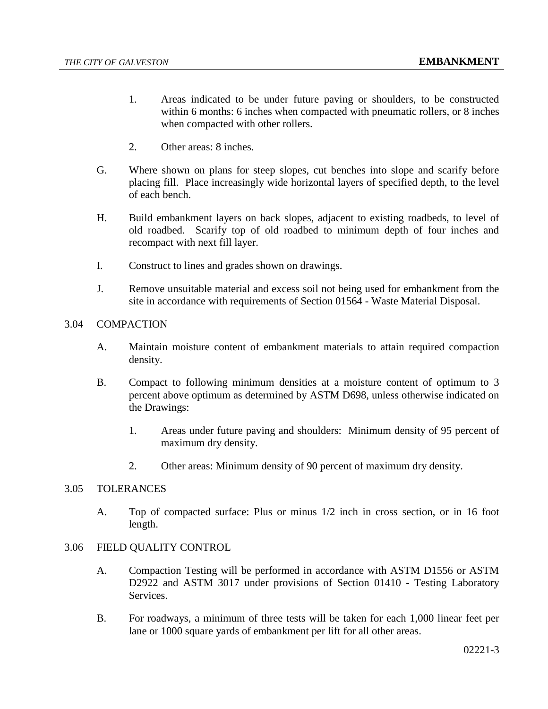- 1. Areas indicated to be under future paving or shoulders, to be constructed within 6 months: 6 inches when compacted with pneumatic rollers, or 8 inches when compacted with other rollers.
- 2. Other areas: 8 inches.
- G. Where shown on plans for steep slopes, cut benches into slope and scarify before placing fill. Place increasingly wide horizontal layers of specified depth, to the level of each bench.
- H. Build embankment layers on back slopes, adjacent to existing roadbeds, to level of old roadbed. Scarify top of old roadbed to minimum depth of four inches and recompact with next fill layer.
- I. Construct to lines and grades shown on drawings.
- J. Remove unsuitable material and excess soil not being used for embankment from the site in accordance with requirements of Section 01564 - Waste Material Disposal.

## 3.04 COMPACTION

- A. Maintain moisture content of embankment materials to attain required compaction density.
- B. Compact to following minimum densities at a moisture content of optimum to 3 percent above optimum as determined by ASTM D698, unless otherwise indicated on the Drawings:
	- 1. Areas under future paving and shoulders: Minimum density of 95 percent of maximum dry density.
	- 2. Other areas: Minimum density of 90 percent of maximum dry density.

## 3.05 TOLERANCES

A. Top of compacted surface: Plus or minus 1/2 inch in cross section, or in 16 foot length.

### 3.06 FIELD QUALITY CONTROL

- A. Compaction Testing will be performed in accordance with ASTM D1556 or ASTM D2922 and ASTM 3017 under provisions of Section 01410 - Testing Laboratory Services.
- B. For roadways, a minimum of three tests will be taken for each 1,000 linear feet per lane or 1000 square yards of embankment per lift for all other areas.